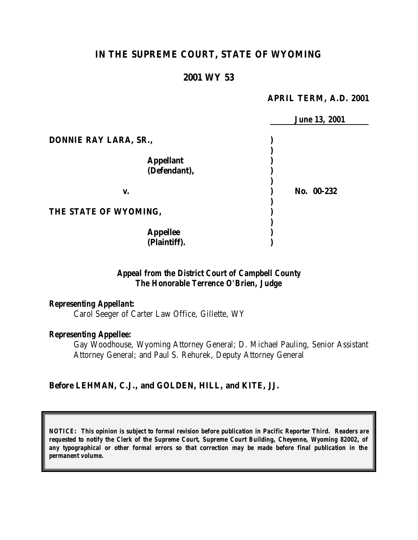# **IN THE SUPREME COURT, STATE OF WYOMING**

### **2001 WY 53**

#### **APRIL TERM, A.D. 2001**

|                       | <b>June 13, 2001</b> |
|-----------------------|----------------------|
| DONNIE RAY LARA, SR., |                      |
|                       |                      |
| <b>Appellant</b>      |                      |
| (Defendant),          |                      |
|                       |                      |
| v.                    | No. 00-232           |
|                       |                      |
| THE STATE OF WYOMING, |                      |
|                       |                      |
| <b>Appellee</b>       |                      |
| (Plaintiff).          |                      |

## *Appeal from the District Court of Campbell County The Honorable Terrence O'Brien, Judge*

#### *Representing Appellant:*

Carol Seeger of Carter Law Office, Gillette, WY

#### *Representing Appellee:*

Gay Woodhouse, Wyoming Attorney General; D. Michael Pauling, Senior Assistant Attorney General; and Paul S. Rehurek, Deputy Attorney General

## **Before LEHMAN, C.J., and GOLDEN, HILL, and KITE, JJ.**

*NOTICE: This opinion is subject to formal revision before publication in Pacific Reporter Third. Readers are requested to notify the Clerk of the Supreme Court, Supreme Court Building, Cheyenne, Wyoming 82002, of any typographical or other formal errors so that correction may be made before final publication in the permanent volume.*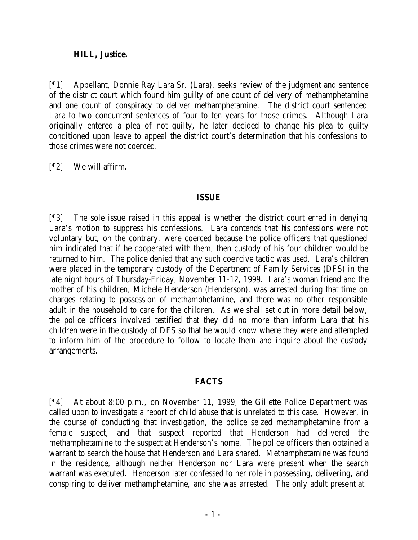#### **HILL, Justice.**

[¶1] Appellant, Donnie Ray Lara Sr. (Lara), seeks review of the judgment and sentence of the district court which found him guilty of one count of delivery of methamphetamine and one count of conspiracy to deliver methamphetamine. The district court sentenced Lara to two concurrent sentences of four to ten years for those crimes. Although Lara originally entered a plea of not guilty, he later decided to change his plea to guilty conditioned upon leave to appeal the district court's determination that his confessions to those crimes were not coerced.

[¶2] We will affirm.

### **ISSUE**

[¶3] The sole issue raised in this appeal is whether the district court erred in denying Lara's motion to suppress his confessions. Lara contends that his confessions were not voluntary but, on the contrary, were coerced because the police officers that questioned him indicated that if he cooperated with them, then custody of his four children would be returned to him. The police denied that any such coercive tactic was used. Lara's children were placed in the temporary custody of the Department of Family Services (DFS) in the late night hours of Thursday-Friday, November 11-12, 1999. Lara's woman friend and the mother of his children, Michele Henderson (Henderson), was arrested during that time on charges relating to possession of methamphetamine, and there was no other responsible adult in the household to care for the children. As we shall set out in more detail below, the police officers involved testified that they did no more than inform Lara that his children were in the custody of DFS so that he would know where they were and attempted to inform him of the procedure to follow to locate them and inquire about the custody arrangements.

### **FACTS**

[¶4] At about 8:00 p.m., on November 11, 1999, the Gillette Police Department was called upon to investigate a report of child abuse that is unrelated to this case. However, in the course of conducting that investigation, the police seized methamphetamine from a female suspect, and that suspect reported that Henderson had delivered the methamphetamine to the suspect at Henderson's home. The police officers then obtained a warrant to search the house that Henderson and Lara shared. Methamphetamine was found in the residence, although neither Henderson nor Lara were present when the search warrant was executed. Henderson later confessed to her role in possessing, delivering, and conspiring to deliver methamphetamine, and she was arrested. The only adult present at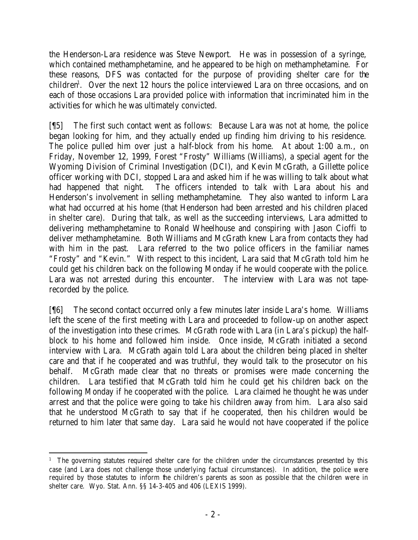the Henderson-Lara residence was Steve Newport. He was in possession of a syringe, which contained methamphetamine, and he appeared to be high on methamphetamine. For these reasons, DFS was contacted for the purpose of providing shelter care for the children<sup>1</sup>. Over the next 12 hours the police interviewed Lara on three occasions, and on each of those occasions Lara provided police with information that incriminated him in the activities for which he was ultimately convicted.

[¶5] The first such contact went as follows: Because Lara was not at home, the police began looking for him, and they actually ended up finding him driving to his residence. The police pulled him over just a half-block from his home. At about 1:00 a.m., on Friday, November 12, 1999, Forest "Frosty" Williams (Williams), a special agent for the Wyoming Division of Criminal Investigation (DCI), and Kevin McGrath, a Gillette police officer working with DCI, stopped Lara and asked him if he was willing to talk about what had happened that night. The officers intended to talk with Lara about his and Henderson's involvement in selling methamphetamine. They also wanted to inform Lara what had occurred at his home (that Henderson had been arrested and his children placed in shelter care). During that talk, as well as the succeeding interviews, Lara admitted to delivering methamphetamine to Ronald Wheelhouse and conspiring with Jason Cioffi to deliver methamphetamine. Both Williams and McGrath knew Lara from contacts they had with him in the past. Lara referred to the two police officers in the familiar names "Frosty" and "Kevin." With respect to this incident, Lara said that McGrath told him he could get his children back on the following Monday if he would cooperate with the police. Lara was not arrested during this encounter. The interview with Lara was not taperecorded by the police.

[¶6] The second contact occurred only a few minutes later inside Lara's home. Williams left the scene of the first meeting with Lara and proceeded to follow-up on another aspect of the investigation into these crimes. McGrath rode with Lara (in Lara's pickup) the halfblock to his home and followed him inside. Once inside, McGrath initiated a second interview with Lara. McGrath again told Lara about the children being placed in shelter care and that if he cooperated and was truthful, they would talk to the prosecutor on his behalf. McGrath made clear that no threats or promises were made concerning the children. Lara testified that McGrath told him he could get his children back on the following Monday if he cooperated with the police. Lara claimed he thought he was under arrest and that the police were going to take his children away from him. Lara also said that he understood McGrath to say that if he cooperated, then his children would be returned to him later that same day. Lara said he would not have cooperated if the police

 <sup>1</sup> The governing statutes required shelter care for the children under the circumstances presented by this case (and Lara does not challenge those underlying factual circumstances). In addition, the police were required by those statutes to inform the children's parents as soon as possible that the children were in shelter care. Wyo. Stat. Ann. §§ 14-3-405 and 406 (LEXIS 1999).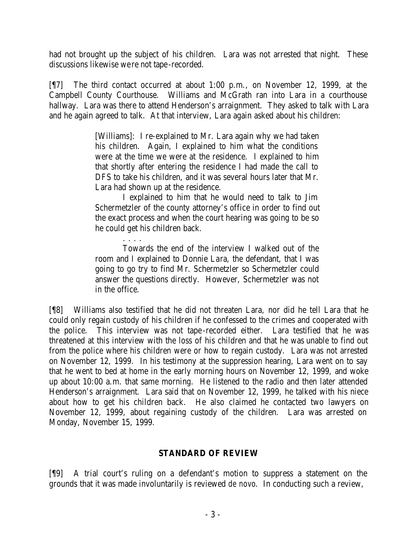had not brought up the subject of his children. Lara was not arrested that night. These discussions likewise were not tape-recorded.

[¶7] The third contact occurred at about 1:00 p.m., on November 12, 1999, at the Campbell County Courthouse. Williams and McGrath ran into Lara in a courthouse hallway. Lara was there to attend Henderson's arraignment. They asked to talk with Lara and he again agreed to talk. At that interview, Lara again asked about his children:

> [Williams]: I re-explained to Mr. Lara again why we had taken his children. Again, I explained to him what the conditions were at the time we were at the residence. I explained to him that shortly after entering the residence I had made the call to DFS to take his children, and it was several hours later that Mr. Lara had shown up at the residence.

> I explained to him that he would need to talk to Jim Schermetzler of the county attorney's office in order to find out the exact process and when the court hearing was going to be so he could get his children back.

> . . . . Towards the end of the interview I walked out of the room and I explained to Donnie Lara, the defendant, that I was going to go try to find Mr. Schermetzler so Schermetzler could answer the questions directly. However, Schermetzler was not in the office.

[¶8] Williams also testified that he did not threaten Lara, nor did he tell Lara that he could only regain custody of his children if he confessed to the crimes and cooperated with the police. This interview was not tape -recorded either. Lara testified that he was threatened at this interview with the loss of his children and that he was unable to find out from the police where his children were or how to regain custody. Lara was not arrested on November 12, 1999. In his testimony at the suppression hearing, Lara went on to say that he went to bed at home in the early morning hours on November 12, 1999, and woke up about 10:00 a.m. that same morning. He listened to the radio and then later attended Henderson's arraignment. Lara said that on November 12, 1999, he talked with his niece about how to get his children back. He also claimed he contacted two lawyers on November 12, 1999, about regaining custody of the children. Lara was arrested on Monday, November 15, 1999.

# **STANDARD OF REVIEW**

[¶9] A trial court's ruling on a defendant's motion to suppress a statement on the grounds that it was made involuntarily is reviewed *de novo*. In conducting such a review,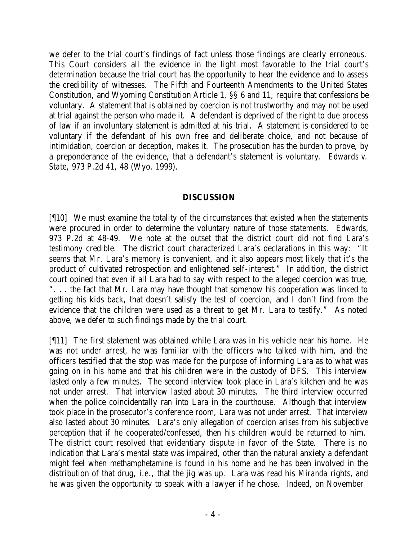we defer to the trial court's findings of fact unless those findings are clearly erroneous. This Court considers all the evidence in the light most favorable to the trial court's determination because the trial court has the opportunity to hear the evidence and to assess the credibility of witnesses. The Fifth and Fourteenth Amendments to the United States Constitution, and Wyoming Constitution Article 1, §§ 6 and 11, require that confessions be voluntary. A statement that is obtained by coercion is not trustworthy and may not be used at trial against the person who made it. A defendant is deprived of the right to due process of law if an involuntary statement is admitted at his trial. A statement is considered to be voluntary if the defendant of his own free and deliberate choice, and not because of intimidation, coercion or deception, makes it. The prosecution has the burden to prove, by a preponderance of the evidence, that a defendant's statement is voluntary. *Edwards v. State*, 973 P.2d 41, 48 (Wyo. 1999).

## **DISCUSSION**

[¶10] We must examine the totality of the circumstances that existed when the statements were procured in order to determine the voluntary nature of those statements. *Edwards*, 973 P.2d at 48-49. We note at the outset that the district court did not find Lara's testimony credible. The district court characterized Lara's declarations in this way: "It seems that Mr. Lara's memory is convenient, and it also appears most likely that it's the product of cultivated retrospection and enlightened self-interest." In addition, the district court opined that even if all Lara had to say with respect to the alleged coercion was true, ". . . the fact that Mr. Lara may have thought that somehow his cooperation was linked to getting his kids back, that doesn't satisfy the test of coercion, and I don't find from the evidence that the children were used as a threat to get Mr. Lara to testify." As noted above, we defer to such findings made by the trial court.

[¶11] The first statement was obtained while Lara was in his vehicle near his home. He was not under arrest, he was familiar with the officers who talked with him, and the officers testified that the stop was made for the purpose of informing Lara as to what was going on in his home and that his children were in the custody of DFS. This interview lasted only a few minutes. The second interview took place in Lara's kitchen and he was not under arrest. That interview lasted about 30 minutes. The third interview occurred when the police coincidentally ran into Lara in the courthouse. Although that interview took place in the prosecutor's conference room, Lara was not under arrest. That interview also lasted about 30 minutes. Lara's only allegation of coercion arises from his subjective perception that if he cooperated/confessed, then his children would be returned to him. The district court resolved that evidentiary dispute in favor of the State. There is no indication that Lara's mental state was impaired, other than the natural anxiety a defendant might feel when methamphetamine is found in his home and he has been involved in the distribution of that drug, *i.e.*, that the jig was up. Lara was read his *Miranda* rights, and he was given the opportunity to speak with a lawyer if he chose. Indeed, on November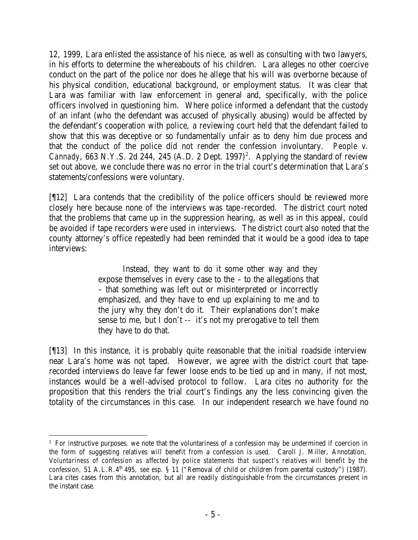12, 1999, Lara enlisted the assistance of his niece, as well as consulting with two lawyers, in his efforts to determine the whereabouts of his children. Lara alleges no other coercive conduct on the part of the police nor does he allege that his will was overborne because of his physical condition, educational background, or employment status. It was clear that Lara was familiar with law enforcement in general and, specifically, with the police officers involved in questioning him. Where police informed a defendant that the custody of an infant (who the defendant was accused of physically abusing) would be affected by the defendant's cooperation with police, a reviewing court held that the defendant failed to show that this was deceptive or so fundamentally unfair as to deny him due process and that the conduct of the police did not render the confession involuntary. *People v. Cannady*, 663 N.Y.S. 2d 244, 245 (A.D. 2 Dept. 1997)<sup>2</sup>. Applying the standard of review set out above, we conclude there was no error in the trial court's determination that Lara's statements/confessions were voluntary.

[¶12] Lara contends that the credibility of the police officers should be reviewed more closely here because none of the interviews was tape-recorded. The district court noted that the problems that came up in the suppression hearing, as well as in this appeal, could be avoided if tape recorders were used in interviews. The district court also noted that the county attorney's office repeatedly had been reminded that it would be a good idea to tape interviews:

> Instead, they want to do it some other way and they expose themselves in every case to the – to the allegations that – that something was left out or misinterpreted or incorrectly emphasized, and they have to end up explaining to me and to the jury why they don't do it. Their explanations don't make sense to me, but I don't -- it's not my prerogative to tell them they have to do that.

[¶13] In this instance, it is probably quite reasonable that the initial roadside interview near Lara's home was not taped. However, we agree with the district court that taperecorded interviews do leave far fewer loose ends to be tied up and in many, if not most, instances would be a well-advised protocol to follow. Lara cites no authority for the proposition that this renders the trial court's findings any the less convincing given the totality of the circumstances in this case. In our independent research we have found no

 <sup>2</sup> For instructive purposes, we note that the voluntariness of a confession may be undermined if coercion in the form of suggesting relatives will benefit from a confession is used. Caroll J. Miller, Annotation, *Voluntariness of confession as affected by police statements that suspect's relatives will benefit by the confession,* 51 A.L.R.4<sup>th</sup> 495, *see esp.* § 11 ("Removal of child or children from parental custody") (1987). Lara cites cases from this annotation, but all are readily distinguishable from the circumstances present in the instant case.